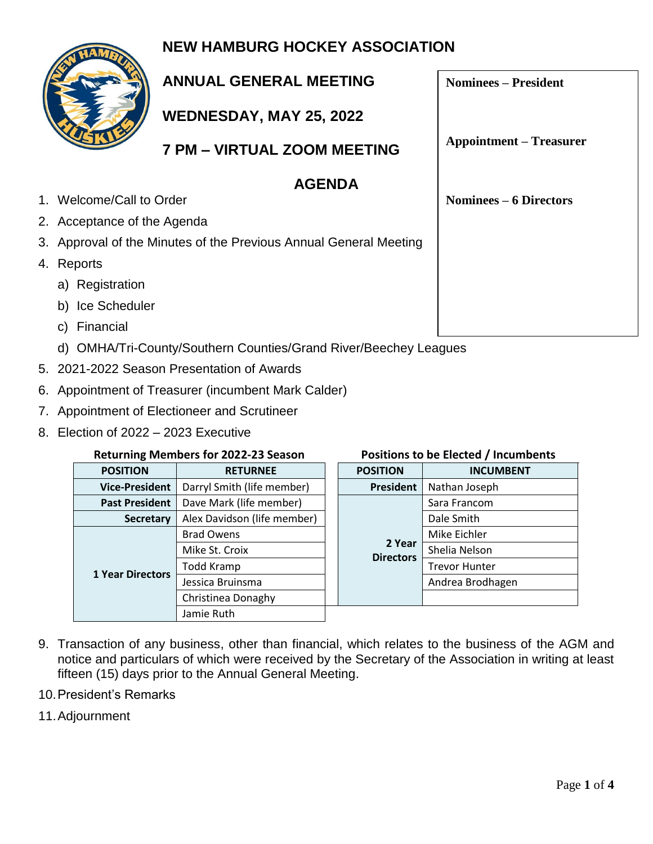## **NEW HAMBURG HOCKEY ASSOCIATION**



## **ANNUAL GENERAL MEETING**

**WEDNESDAY, MAY 25, 2022**

**7 PM – VIRTUAL ZOOM MEETING**

### **AGENDA**

1. Welcome/Call to Order

- 2. Acceptance of the Agenda
- 3. Approval of the Minutes of the Previous Annual General Meeting
- 4. Reports
	- a) Registration
	- b) Ice Scheduler
	- c) Financial
	- d) OMHA/Tri-County/Southern Counties/Grand River/Beechey Leagues
- 5. 2021-2022 Season Presentation of Awards
- 6. Appointment of Treasurer (incumbent Mark Calder)
- 7. Appointment of Electioneer and Scrutineer
- 8. Election of 2022 2023 Executive

#### **Returning Members for 2022-23 Season Positions to be Elected / Incumbents**

| <b>POSITION</b>         | <b>RETURNEE</b>             |  | <b>POSITION</b>            | <b>INCUMBENT</b>     |
|-------------------------|-----------------------------|--|----------------------------|----------------------|
| <b>Vice-President</b>   | Darryl Smith (life member)  |  | President                  | Nathan Joseph        |
| <b>Past President</b>   | Dave Mark (life member)     |  | 2 Year<br><b>Directors</b> | Sara Francom         |
| <b>Secretary</b>        | Alex Davidson (life member) |  |                            | Dale Smith           |
| <b>1 Year Directors</b> | <b>Brad Owens</b>           |  |                            | Mike Eichler         |
|                         | Mike St. Croix              |  |                            | Shelia Nelson        |
|                         | Todd Kramp                  |  |                            | <b>Trevor Hunter</b> |
|                         | Jessica Bruinsma            |  |                            | Andrea Brodhagen     |
|                         | Christinea Donaghy          |  |                            |                      |
|                         | Jamie Ruth                  |  |                            |                      |

- 9. Transaction of any business, other than financial, which relates to the business of the AGM and notice and particulars of which were received by the Secretary of the Association in writing at least fifteen (15) days prior to the Annual General Meeting.
- 10.President's Remarks
- 11.Adjournment

**Nominees – President**

**Appointment – Treasurer**

**Nominees – 6 Directors**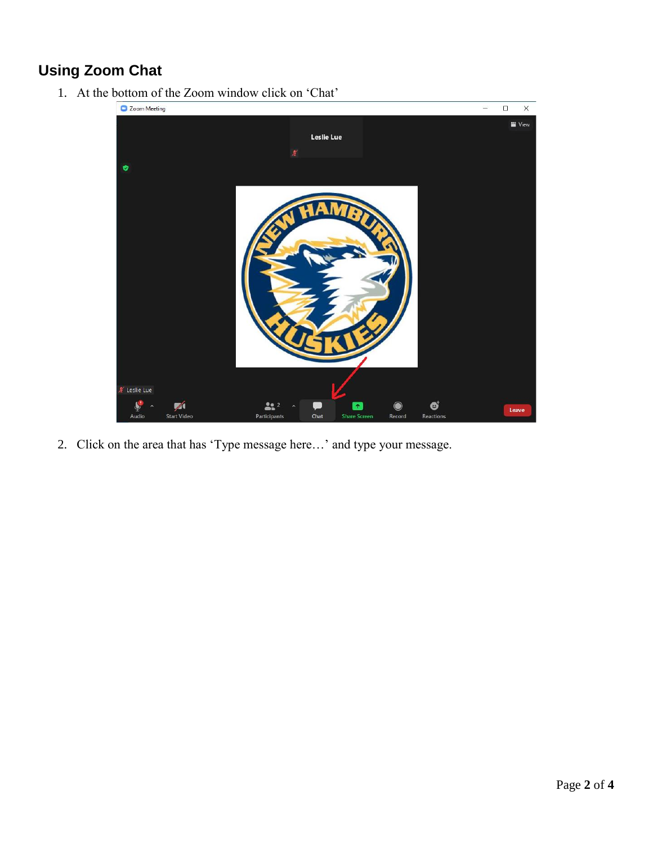## **Using Zoom Chat**

1. At the bottom of the Zoom window click on 'Chat'



2. Click on the area that has 'Type message here…' and type your message.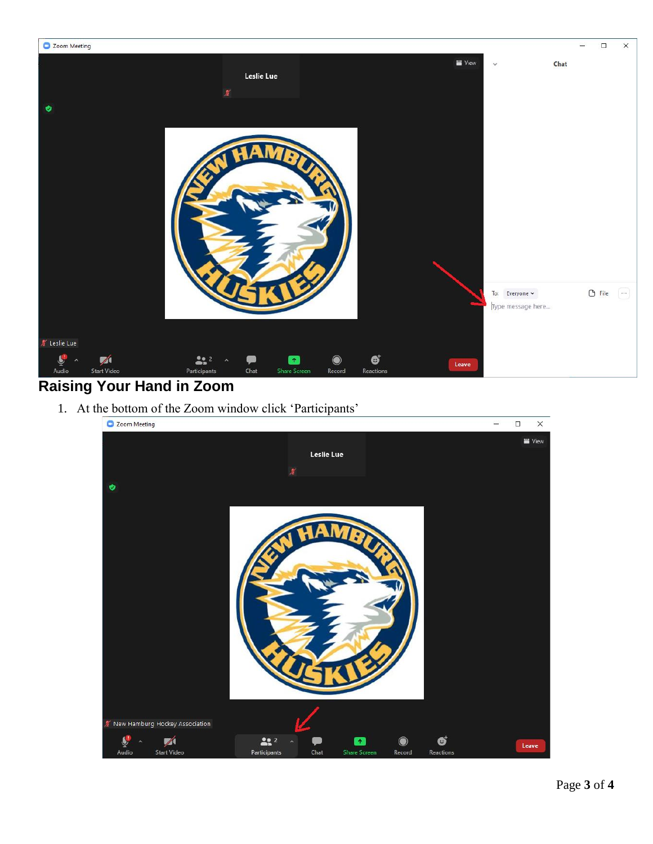

## **Raising Your Hand in Zoom**

1. At the bottom of the Zoom window click 'Participants'